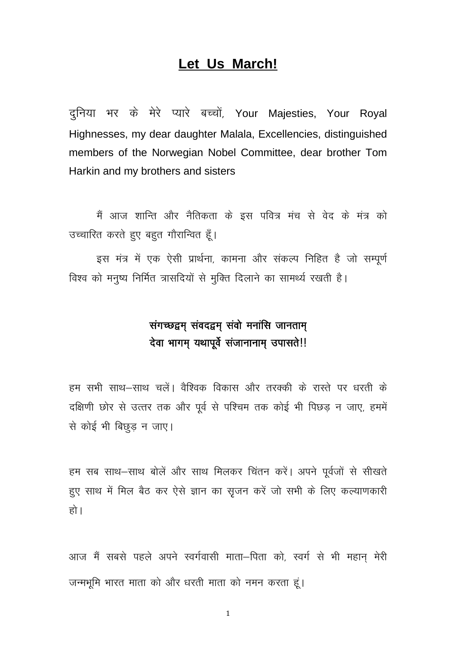## Let Us March!

दुनिया भर के मेरे प्यारे बच्चों, Your Majesties, Your Royal Highnesses, my dear daughter Malala, Excellencies, distinguished members of the Norwegian Nobel Committee, dear brother Tom Harkin and my brothers and sisters

मैं आज शान्ति और नैतिकता के इस पवित्र मंच से वेद के मंत्र को उच्चारित करते हुए बहुत गौरान्वित हूँ।

इस मंत्र में एक ऐसी प्रार्थना, कामना और संकल्प निहित है जो सम्पूर्ण विश्व को मनुष्य निर्मित त्रासदियों से मुक्ति दिलाने का सामर्थ्य रखती है।

## संगच्छद्वम् संवदद्वम् संवो मनांसि जानताम् देवा भागम् यथापूर्वे संजानानाम् उपासते!!

हम सभी साथ–साथ चलें। वैश्विक विकास और तरक्की के रास्ते पर धरती के दक्षिणी छोर से उत्तर तक और पूर्व से पश्चिम तक कोई भी पिछड़ न जाए, हममें से कोई भी बिछड़ न जाए।

हम सब साथ–साथ बोलें और साथ मिलकर चिंतन करें। अपने पूर्वजों से सीखते हुए साथ में मिल बैठ कर ऐसे ज्ञान का सृजन करें जो सभी के लिए कल्याणकारी हो।

आज मैं सबसे पहले अपने स्वर्गवासी माता-पिता को, स्वर्ग से भी महान मेरी जन्मभूमि भारत माता को और धरती माता को नमन करता हूं।

 $\mathbf 1$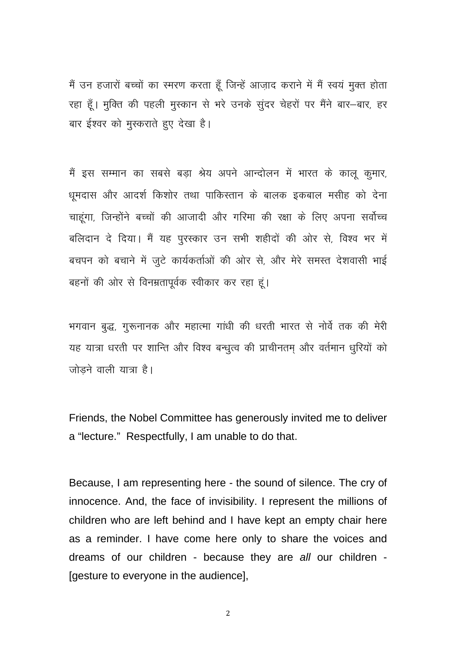मैं उन हजारों बच्चों का स्मरण करता हूँ जिन्हें आज़ाद कराने में मैं स्वयं मुक्त होता रहा हूँ। मुक्ति की पहली मुस्कान से भरे उनके सुंदर चेहरों पर मैंने बार-बार, हर बार ईश्वर को मुस्कराते हुए देखा है।

मैं इस सम्मान का सबसे बड़ा श्रेय अपने आन्दोलन में भारत के कालू कुमार, धूमदास और आदर्श किशोर तथा पाकिस्तान के बालक इकबाल मसीह को देना चाहूंगा, जिन्होंने बच्चों की आजादी और गरिमा की रक्षा के लिए अपना सर्वोच्च बलिदान दे दिया। मैं यह पुरस्कार उन सभी शहीदों की ओर से, विश्व भर में बचपन को बचाने में जुटे कार्यकर्ताओं की ओर से, और मेरे समस्त देशवासी भाई बहनों की ओर से विनम्रतापूर्वक स्वीकार कर रहा हूं।

भगवान बुद्ध, गुरूनानक और महात्मा गांधी की धरती भारत से नोर्वे तक की मेरी यह यात्रा धरती पर शान्ति और विश्व बन्धुत्व की प्राचीनतम और वर्तमान धुरियों को जोड़ने वाली यात्रा है।

Friends, the Nobel Committee has generously invited me to deliver a "lecture." Respectfully, I am unable to do that.

Because, I am representing here - the sound of silence. The cry of innocence. And, the face of invisibility. I represent the millions of children who are left behind and I have kept an empty chair here as a reminder. I have come here only to share the voices and dreams of our children - because they are all our children -[gesture to everyone in the audience],

 $\overline{2}$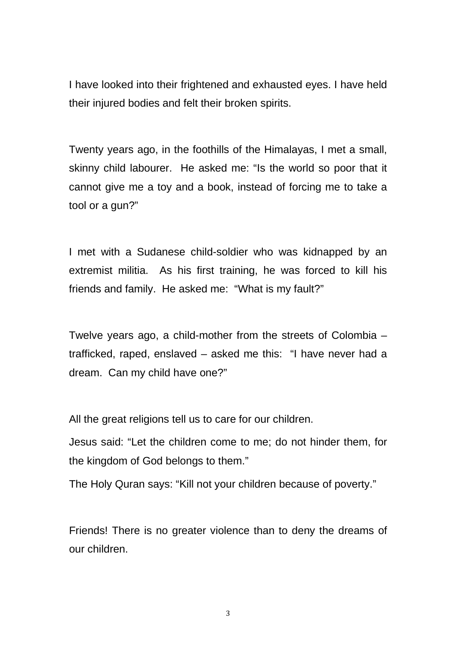I have looked into their frightened and exhausted eyes. I have held their injured bodies and felt their broken spirits.

Twenty years ago, in the foothills of the Himalayas, I met a small, skinny child labourer. He asked me: "Is the world so poor that it cannot give me a toy and a book, instead of forcing me to take a tool or a gun?"

I met with a Sudanese child-soldier who was kidnapped by an extremist militia. As his first training, he was forced to kill his friends and family. He asked me: "What is my fault?"

Twelve years ago, a child-mother from the streets of Colombia – trafficked, raped, enslaved – asked me this: "I have never had a dream. Can my child have one?"

All the great religions tell us to care for our children.

Jesus said: "Let the children come to me; do not hinder them, for the kingdom of God belongs to them."

The Holy Quran says: "Kill not your children because of poverty."

Friends! There is no greater violence than to deny the dreams of our children.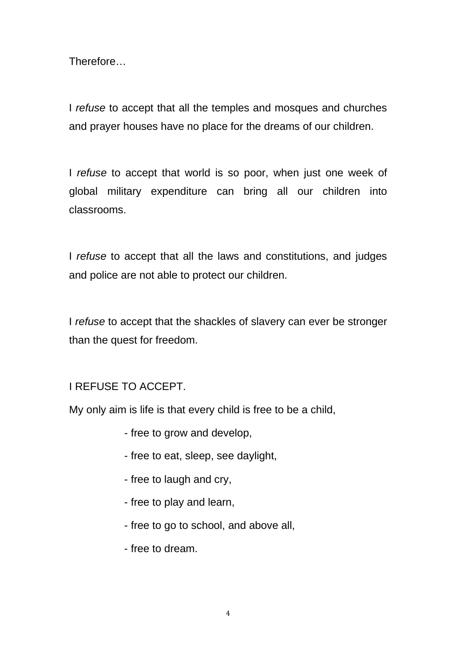Therefore…

I *refuse* to accept that all the temples and mosques and churches and prayer houses have no place for the dreams of our children.

I *refuse* to accept that world is so poor, when just one week of global military expenditure can bring all our children into classrooms.

I *refuse* to accept that all the laws and constitutions, and judges and police are not able to protect our children.

I *refuse* to accept that the shackles of slavery can ever be stronger than the quest for freedom.

## I REFUSE TO ACCEPT.

My only aim is life is that every child is free to be a child,

- free to grow and develop,
- free to eat, sleep, see daylight,
- free to laugh and cry,
- free to play and learn,
- free to go to school, and above all,
- free to dream.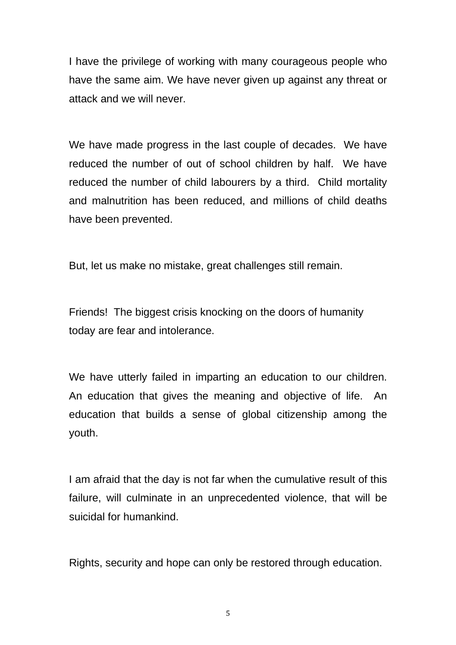I have the privilege of working with many courageous people who have the same aim. We have never given up against any threat or attack and we will never.

We have made progress in the last couple of decades. We have reduced the number of out of school children by half. We have reduced the number of child labourers by a third. Child mortality and malnutrition has been reduced, and millions of child deaths have been prevented.

But, let us make no mistake, great challenges still remain.

Friends! The biggest crisis knocking on the doors of humanity today are fear and intolerance.

We have utterly failed in imparting an education to our children. An education that gives the meaning and objective of life. An education that builds a sense of global citizenship among the youth.

I am afraid that the day is not far when the cumulative result of this failure, will culminate in an unprecedented violence, that will be suicidal for humankind.

Rights, security and hope can only be restored through education.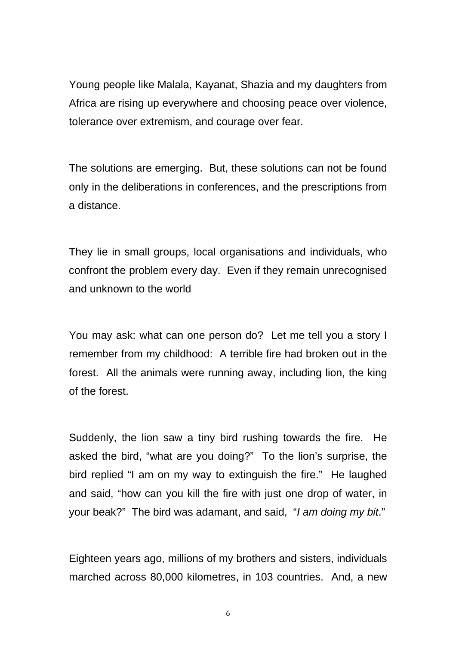Young people like Malala, Kayanat, Shazia and my daughters from Africa are rising up everywhere and choosing peace over violence, tolerance over extremism, and courage over fear.

The solutions are emerging. But, these solutions can not be found only in the deliberations in conferences, and the prescriptions from a distance.

They lie in small groups, local organisations and individuals, who confront the problem every day. Even if they remain unrecognised and unknown to the world

You may ask: what can one person do? Let me tell you a story I remember from my childhood: A terrible fire had broken out in the forest. All the animals were running away, including lion, the king of the forest.

Suddenly, the lion saw a tiny bird rushing towards the fire. He asked the bird, "what are you doing?" To the lion's surprise, the bird replied "I am on my way to extinguish the fire." He laughed and said, "how can you kill the fire with just one drop of water, in your beak?" The bird was adamant, and said, "*I am doing my bit*."

Eighteen years ago, millions of my brothers and sisters, individuals marched across 80,000 kilometres, in 103 countries. And, a new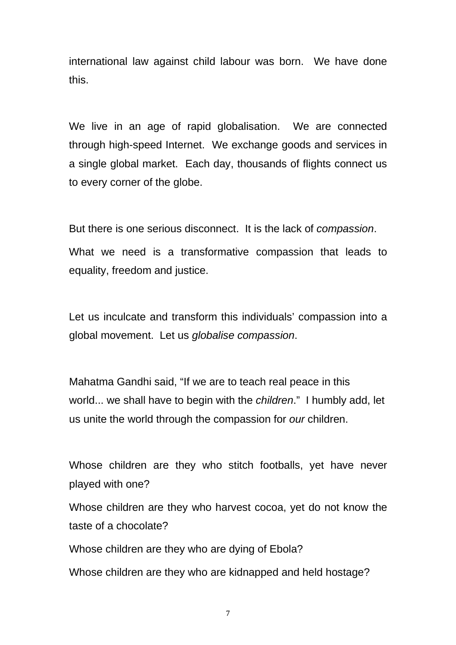international law against child labour was born. We have done this.

We live in an age of rapid globalisation. We are connected through high-speed Internet. We exchange goods and services in a single global market. Each day, thousands of flights connect us to every corner of the globe.

But there is one serious disconnect. It is the lack of *compassion*. What we need is a transformative compassion that leads to equality, freedom and justice.

Let us inculcate and transform this individuals' compassion into a global movement. Let us *globalise compassion*.

Mahatma Gandhi said, "If we are to teach real peace in this world... we shall have to begin with the *children*." I humbly add, let us unite the world through the compassion for *our* children.

Whose children are they who stitch footballs, yet have never played with one?

Whose children are they who harvest cocoa, yet do not know the taste of a chocolate?

Whose children are they who are dying of Ebola?

Whose children are they who are kidnapped and held hostage?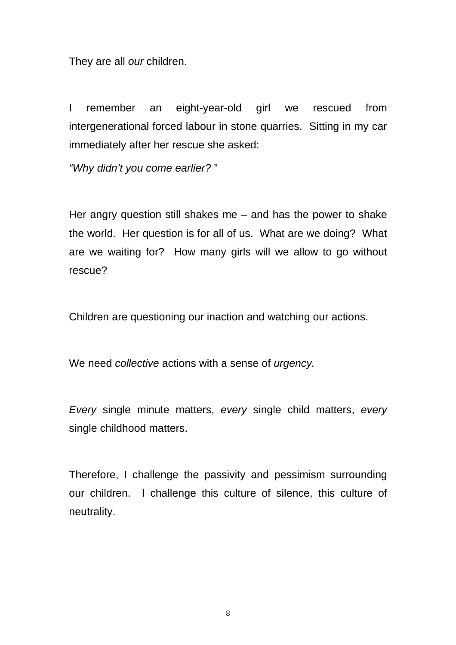They are all *our* children.

I remember an eight-year-old girl we rescued from intergenerational forced labour in stone quarries. Sitting in my car immediately after her rescue she asked:

*"Why didn't you come earlier?* "

Her angry question still shakes me – and has the power to shake the world. Her question is for all of us. What are we doing? What are we waiting for? How many girls will we allow to go without rescue?

Children are questioning our inaction and watching our actions.

We need *collective* actions with a sense of *urgency.* 

*Every* single minute matters, *every* single child matters, *every* single childhood matters.

Therefore, I challenge the passivity and pessimism surrounding our children. I challenge this culture of silence, this culture of neutrality.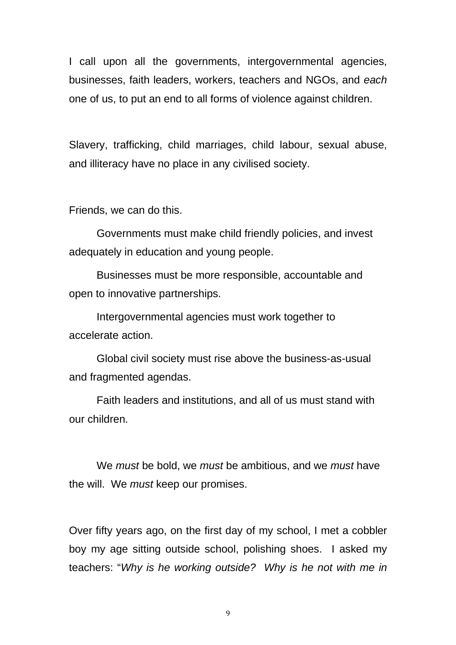I call upon all the governments, intergovernmental agencies, businesses, faith leaders, workers, teachers and NGOs, and *each* one of us, to put an end to all forms of violence against children.

Slavery, trafficking, child marriages, child labour, sexual abuse, and illiteracy have no place in any civilised society.

Friends, we can do this.

Governments must make child friendly policies, and invest adequately in education and young people.

Businesses must be more responsible, accountable and open to innovative partnerships.

Intergovernmental agencies must work together to accelerate action.

Global civil society must rise above the business-as-usual and fragmented agendas.

Faith leaders and institutions, and all of us must stand with our children.

We *must* be bold, we *must* be ambitious, and we *must* have the will. We *must* keep our promises.

Over fifty years ago, on the first day of my school, I met a cobbler boy my age sitting outside school, polishing shoes. I asked my teachers: "*Why is he working outside? Why is he not with me in*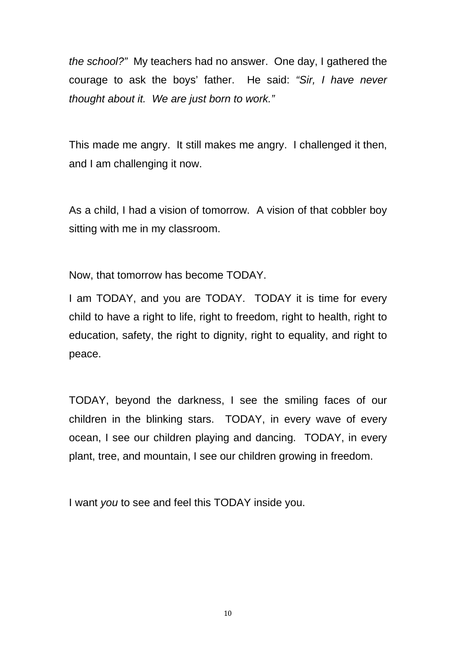*the school?"* My teachers had no answer. One day, I gathered the courage to ask the boys' father. He said: *"Sir, I have never thought about it. We are just born to work."*

This made me angry. It still makes me angry. I challenged it then, and I am challenging it now.

As a child, I had a vision of tomorrow. A vision of that cobbler boy sitting with me in my classroom.

Now, that tomorrow has become TODAY.

I am TODAY, and you are TODAY. TODAY it is time for every child to have a right to life, right to freedom, right to health, right to education, safety, the right to dignity, right to equality, and right to peace.

TODAY, beyond the darkness, I see the smiling faces of our children in the blinking stars. TODAY, in every wave of every ocean, I see our children playing and dancing. TODAY, in every plant, tree, and mountain, I see our children growing in freedom.

I want *you* to see and feel this TODAY inside you.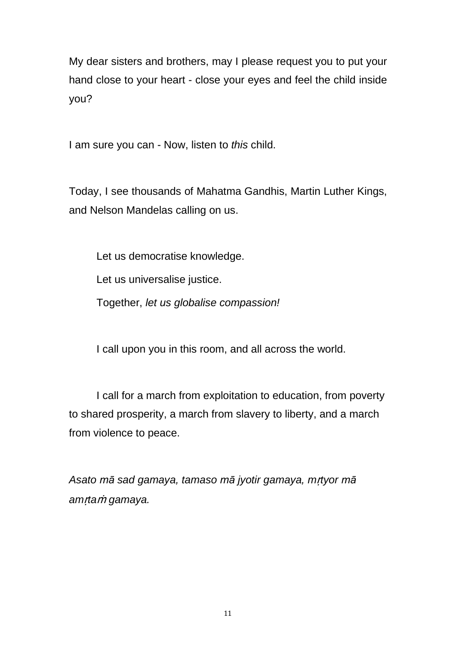My dear sisters and brothers, may I please request you to put your hand close to your heart - close your eyes and feel the child inside you?

I am sure you can - Now, listen to *this* child.

Today, I see thousands of Mahatma Gandhis, Martin Luther Kings, and Nelson Mandelas calling on us.

Let us democratise knowledge.

Let us universalise justice.

Together, *let us globalise compassion!*

I call upon you in this room, and all across the world.

I call for a march from exploitation to education, from poverty to shared prosperity, a march from slavery to liberty, and a march from violence to peace.

*Asato mā sad gamaya, tamaso mā jyotir gamaya, m*ṛ*tyor mā am*ṛ*ta*ṁ *gamaya.*